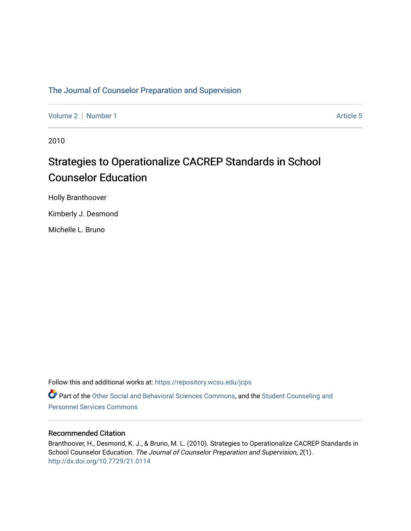### [The Journal of Counselor Preparation and Supervision](https://repository.wcsu.edu/jcps)

[Volume 2](https://repository.wcsu.edu/jcps/vol2) | [Number 1](https://repository.wcsu.edu/jcps/vol2/iss1) Article 5

2010

# Strategies to Operationalize CACREP Standards in School Counselor Education

Holly Branthoover

Kimberly J. Desmond

Michelle L. Bruno

Follow this and additional works at: [https://repository.wcsu.edu/jcps](https://repository.wcsu.edu/jcps?utm_source=repository.wcsu.edu%2Fjcps%2Fvol2%2Fiss1%2F5&utm_medium=PDF&utm_campaign=PDFCoverPages) 

Part of the [Other Social and Behavioral Sciences Commons](http://network.bepress.com/hgg/discipline/437?utm_source=repository.wcsu.edu%2Fjcps%2Fvol2%2Fiss1%2F5&utm_medium=PDF&utm_campaign=PDFCoverPages), and the [Student Counseling and](http://network.bepress.com/hgg/discipline/802?utm_source=repository.wcsu.edu%2Fjcps%2Fvol2%2Fiss1%2F5&utm_medium=PDF&utm_campaign=PDFCoverPages) [Personnel Services Commons](http://network.bepress.com/hgg/discipline/802?utm_source=repository.wcsu.edu%2Fjcps%2Fvol2%2Fiss1%2F5&utm_medium=PDF&utm_campaign=PDFCoverPages)

#### Recommended Citation

Branthoover, H., Desmond, K. J., & Bruno, M. L. (2010). Strategies to Operationalize CACREP Standards in School Counselor Education. The Journal of Counselor Preparation and Supervision, 2(1). <http://dx.doi.org/10.7729/21.0114>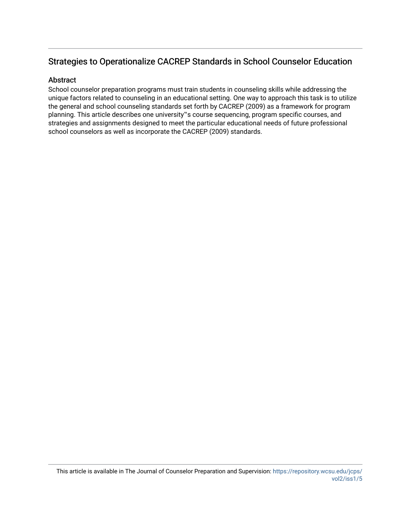## Strategies to Operationalize CACREP Standards in School Counselor Education

#### Abstract

School counselor preparation programs must train students in counseling skills while addressing the unique factors related to counseling in an educational setting. One way to approach this task is to utilize the general and school counseling standards set forth by CACREP (2009) as a framework for program planning. This article describes one university"s course sequencing, program specific courses, and strategies and assignments designed to meet the particular educational needs of future professional school counselors as well as incorporate the CACREP (2009) standards.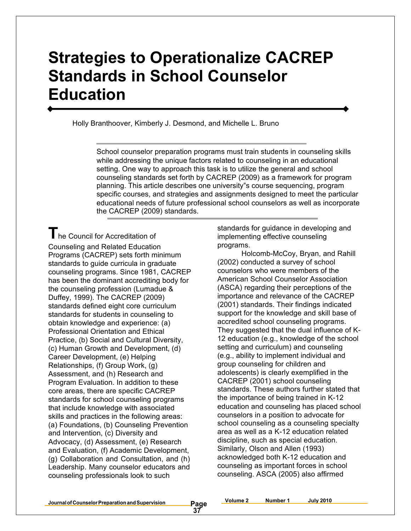# **Strategies to Operationalize CACREP Standards in School Counselor Education**

Holly Branthoover, Kimberly J. Desmond, and Michelle L. Bruno

School counselor preparation programs must train students in counseling skills while addressing the unique factors related to counseling in an educational setting. One way to approach this task is to utilize the general and school counseling standards set forth by CACREP (2009) as a framework for program planning. This article describes one university"s course sequencing, program specific courses, and strategies and assignments designed to meet the particular educational needs of future professional school counselors as well as incorporate the CACREP (2009) standards.

**T**he Council for Accreditation of Counseling and Related Education Programs (CACREP) sets forth minimum standards to guide curricula in graduate counseling programs. Since 1981, CACREP has been the dominant accrediting body for the counseling profession (Lumadue & Duffey, 1999). The CACREP (2009) standards defined eight core curriculum standards for students in counseling to obtain knowledge and experience: (a) Professional Orientation and Ethical Practice, (b) Social and Cultural Diversity, (c) Human Growth and Development, (d) Career Development, (e) Helping Relationships, (f) Group Work, (g) Assessment, and (h) Research and Program Evaluation. In addition to these core areas, there are specific CACREP standards for school counseling programs that include knowledge with associated skills and practices in the following areas: (a) Foundations, (b) Counseling Prevention and Intervention, (c) Diversity and Advocacy, (d) Assessment, (e) Research and Evaluation, (f) Academic Development, (g) Collaboration and Consultation, and (h) Leadership. Many counselor educators and counseling professionals look to such

standards for guidance in developing and implementing effective counseling programs.

Holcomb-McCoy, Bryan, and Rahill (2002) conducted a survey of school counselors who were members of the American School Counselor Association (ASCA) regarding their perceptions of the importance and relevance of the CACREP (2001) standards. Their findings indicated support for the knowledge and skill base of accredited school counseling programs. They suggested that the dual influence of K-12 education (e.g., knowledge of the school setting and curriculum) and counseling (e.g., ability to implement individual and group counseling for children and adolescents) is clearly exemplified in the CACREP (2001) school counseling standards. These authors further stated that the importance of being trained in K-12 education and counseling has placed school counselors in a position to advocate for school counseling as a counseling specialty area as well as a K-12 education related discipline, such as special education. Similarly, Olson and Allen (1993) acknowledged both K-12 education and counseling as important forces in school counseling. ASCA (2005) also affirmed

**Volume 2 Number 1 July 2010**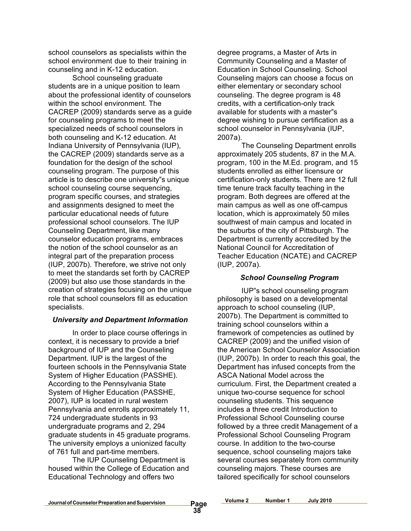school counselors as specialists within the school environment due to their training in counseling and in K-12 education.

School counseling graduate students are in a unique position to learn about the professional identity of counselors within the school environment. The CACREP (2009) standards serve as a guide for counseling programs to meet the specialized needs of school counselors in both counseling and K-12 education. At Indiana University of Pennsylvania (IUP), the CACREP (2009) standards serve as a foundation for the design of the school counseling program. The purpose of this article is to describe one university"s unique school counseling course sequencing, program specific courses, and strategies and assignments designed to meet the particular educational needs of future professional school counselors. The IUP Counseling Department, like many counselor education programs, embraces the notion of the school counselor as an integral part of the preparation process (IUP, 2007b). Therefore, we strive not only to meet the standards set forth by CACREP (2009) but also use those standards in the creation of strategies focusing on the unique role that school counselors fill as education specialists.

#### *University and Department Information*

In order to place course offerings in context, it is necessary to provide a brief background of IUP and the Counseling Department. IUP is the largest of the fourteen schools in the Pennsylvania State System of Higher Education (PASSHE). According to the Pennsylvania State System of Higher Education (PASSHE, 2007), IUP is located in rural western Pennsylvania and enrolls approximately 11, 724 undergraduate students in 93 undergraduate programs and 2, 294 graduate students in 45 graduate programs. The university employs a unionized faculty of 761 full and part-time members.

The IUP Counseling Department is housed within the College of Education and Educational Technology and offers two

degree programs, a Master of Arts in Community Counseling and a Master of Education in School Counseling. School Counseling majors can choose a focus on either elementary or secondary school counseling. The degree program is 48 credits, with a certification-only track available for students with a master"s degree wishing to pursue certification as a school counselor in Pennsylvania (IUP, 2007a).

The Counseling Department enrolls approximately 205 students, 87 in the M.A. program, 100 in the M.Ed. program, and 15 students enrolled as either licensure or certification-only students. There are 12 full time tenure track faculty teaching in the program. Both degrees are offered at the main campus as well as one off-campus location, which is approximately 50 miles southwest of main campus and located in the suburbs of the city of Pittsburgh. The Department is currently accredited by the National Council for Accreditation of Teacher Education (NCATE) and CACREP (IUP, 2007a).

#### *School Counseling Program*

IUP"s school counseling program philosophy is based on a developmental approach to school counseling (IUP, 2007b). The Department is committed to training school counselors within a framework of competencies as outlined by CACREP (2009) and the unified vision of the American School Counselor Association (IUP, 2007b). In order to reach this goal, the Department has infused concepts from the ASCA National Model across the curriculum. First, the Department created a unique two-course sequence for school counseling students. This sequence includes a three credit Introduction to Professional School Counseling course followed by a three credit Management of a Professional School Counseling Program course. In addition to the two-course sequence, school counseling majors take several courses separately from community counseling majors. These courses are tailored specifically for school counselors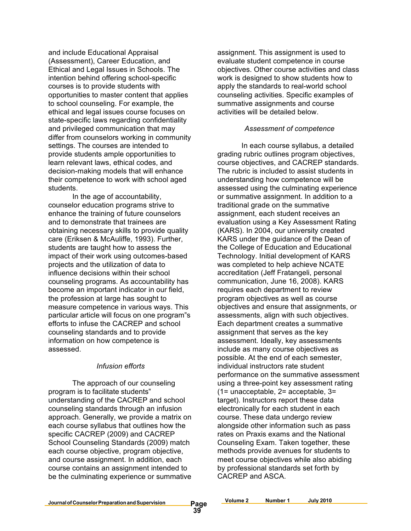and include Educational Appraisal (Assessment), Career Education, and Ethical and Legal Issues in Schools. The intention behind offering school-specific courses is to provide students with opportunities to master content that applies to school counseling. For example, the ethical and legal issues course focuses on state-specific laws regarding confidentiality and privileged communication that may differ from counselors working in community settings. The courses are intended to provide students ample opportunities to learn relevant laws, ethical codes, and decision-making models that will enhance their competence to work with school aged students.

In the age of accountability, counselor education programs strive to enhance the training of future counselors and to demonstrate that trainees are obtaining necessary skills to provide quality care (Eriksen & McAuliffe, 1993). Further, students are taught how to assess the impact of their work using outcomes-based projects and the utilization of data to influence decisions within their school counseling programs. As accountability has become an important indicator in our field, the profession at large has sought to measure competence in various ways. This particular article will focus on one program"s efforts to infuse the CACREP and school counseling standards and to provide information on how competence is assessed.

#### *Infusion efforts*

The approach of our counseling program is to facilitate students" understanding of the CACREP and school counseling standards through an infusion approach. Generally, we provide a matrix on each course syllabus that outlines how the specific CACREP (2009) and CACREP School Counseling Standards (2009) match each course objective, program objective, and course assignment. In addition, each course contains an assignment intended to be the culminating experience or summative

assignment. This assignment is used to evaluate student competence in course objectives. Other course activities and class work is designed to show students how to apply the standards to real-world school counseling activities. Specific examples of summative assignments and course activities will be detailed below.

#### *Assessment of competence*

In each course syllabus, a detailed grading rubric outlines program objectives, course objectives, and CACREP standards. The rubric is included to assist students in understanding how competence will be assessed using the culminating experience or summative assignment. In addition to a traditional grade on the summative assignment, each student receives an evaluation using a Key Assessment Rating (KARS). In 2004, our university created KARS under the guidance of the Dean of the College of Education and Educational Technology. Initial development of KARS was completed to help achieve NCATE accreditation (Jeff Fratangeli, personal communication, June 16, 2008). KARS requires each department to review program objectives as well as course objectives and ensure that assignments, or assessments, align with such objectives. Each department creates a summative assignment that serves as the key assessment. Ideally, key assessments include as many course objectives as possible. At the end of each semester, individual instructors rate student performance on the summative assessment using a three-point key assessment rating (1= unacceptable, 2= acceptable, 3= target). Instructors report these data electronically for each student in each course. These data undergo review alongside other information such as pass rates on Praxis exams and the National Counseling Exam. Taken together, these methods provide avenues for students to meet course objectives while also abiding by professional standards set forth by CACREP and ASCA.

Page<br>39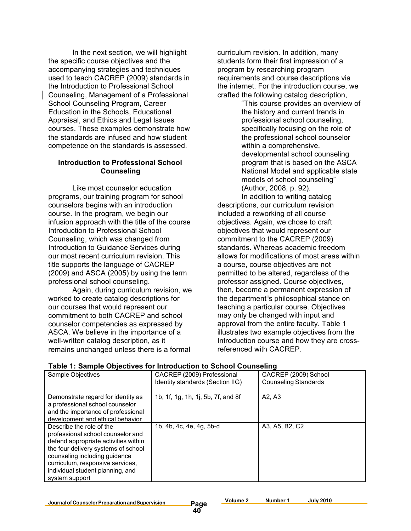In the next section, we will highlight the specific course objectives and the accompanying strategies and techniques used to teach CACREP (2009) standards in the Introduction to Professional School Counseling, Management of a Professional School Counseling Program, Career Education in the Schools, Educational Appraisal, and Ethics and Legal Issues courses. These examples demonstrate how the standards are infused and how student competence on the standards is assessed.

#### **Introduction to Professional School Counseling**

Like most counselor education programs, our training program for school counselors begins with an introduction course. In the program, we begin our infusion approach with the title of the course Introduction to Professional School Counseling, which was changed from Introduction to Guidance Services during our most recent curriculum revision. This title supports the language of CACREP (2009) and ASCA (2005) by using the term professional school counseling.

Again, during curriculum revision, we worked to create catalog descriptions for our courses that would represent our commitment to both CACREP and school counselor competencies as expressed by ASCA. We believe in the importance of a well-written catalog description, as it remains unchanged unless there is a formal

curriculum revision. In addition, many students form their first impression of a program by researching program requirements and course descriptions via the internet. For the introduction course, we crafted the following catalog description,

"This course provides an overview of the history and current trends in professional school counseling, specifically focusing on the role of the professional school counselor within a comprehensive, developmental school counseling program that is based on the ASCA National Model and applicable state models of school counseling" (Author, 2008, p. 92).

In addition to writing catalog descriptions, our curriculum revision included a reworking of all course objectives. Again, we chose to craft objectives that would represent our commitment to the CACREP (2009) standards. Whereas academic freedom allows for modifications of most areas within a course, course objectives are not permitted to be altered, regardless of the professor assigned. Course objectives, then, become a permanent expression of the department"s philosophical stance on teaching a particular course. Objectives may only be changed with input and approval from the entire faculty. Table 1 illustrates two example objectives from the Introduction course and how they are crossreferenced with CACREP.

| Sample Objectives                                                                                                                                                                                                                                                       | CACREP (2009) Professional<br>Identity standards (Section IIG) | CACREP (2009) School<br><b>Counseling Standards</b> |
|-------------------------------------------------------------------------------------------------------------------------------------------------------------------------------------------------------------------------------------------------------------------------|----------------------------------------------------------------|-----------------------------------------------------|
| Demonstrate regard for identity as<br>a professional school counselor<br>and the importance of professional<br>development and ethical behavior                                                                                                                         | 1b, 1f, 1g, 1h, 1j, 5b, 7f, and 8f                             | A2. A3                                              |
| Describe the role of the<br>professional school counselor and<br>defend appropriate activities within<br>the four delivery systems of school<br>counseling including guidance<br>curriculum, responsive services,<br>individual student planning, and<br>system support | 1b, 4b, 4c, 4e, 4g, 5b-d                                       | A3, A5, B2, C2                                      |

#### **Table 1: Sample Objectives for Introduction to School Counseling**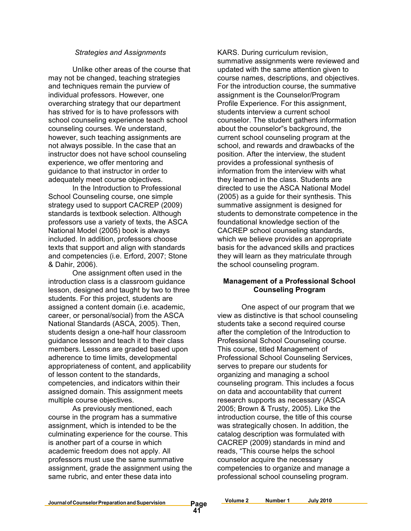#### *Strategies and Assignments*

Unlike other areas of the course that may not be changed, teaching strategies and techniques remain the purview of individual professors. However, one overarching strategy that our department has strived for is to have professors with school counseling experience teach school counseling courses. We understand, however, such teaching assignments are not always possible. In the case that an instructor does not have school counseling experience, we offer mentoring and guidance to that instructor in order to adequately meet course objectives.

In the Introduction to Professional School Counseling course, one simple strategy used to support CACREP (2009) standards is textbook selection. Although professors use a variety of texts, the ASCA National Model (2005) book is always included. In addition, professors choose texts that support and align with standards and competencies (i.e. Erford, 2007; Stone & Dahir, 2006).

One assignment often used in the introduction class is a classroom guidance lesson, designed and taught by two to three students. For this project, students are assigned a content domain (i.e. academic, career, or personal/social) from the ASCA National Standards (ASCA, 2005). Then, students design a one-half hour classroom guidance lesson and teach it to their class members. Lessons are graded based upon adherence to time limits, developmental appropriateness of content, and applicability of lesson content to the standards, competencies, and indicators within their assigned domain. This assignment meets multiple course objectives.

As previously mentioned, each course in the program has a summative assignment, which is intended to be the culminating experience for the course. This is another part of a course in which academic freedom does not apply. All professors must use the same summative assignment, grade the assignment using the same rubric, and enter these data into

KARS. During curriculum revision, summative assignments were reviewed and updated with the same attention given to course names, descriptions, and objectives. For the introduction course, the summative assignment is the Counselor/Program Profile Experience. For this assignment, students interview a current school counselor. The student gathers information about the counselor"s background, the current school counseling program at the school, and rewards and drawbacks of the position. After the interview, the student provides a professional synthesis of information from the interview with what they learned in the class. Students are directed to use the ASCA National Model (2005) as a guide for their synthesis. This summative assignment is designed for students to demonstrate competence in the foundational knowledge section of the CACREP school counseling standards, which we believe provides an appropriate basis for the advanced skills and practices they will learn as they matriculate through the school counseling program.

#### **Management of a Professional School Counseling Program**

One aspect of our program that we view as distinctive is that school counseling students take a second required course after the completion of the Introduction to Professional School Counseling course. This course, titled Management of Professional School Counseling Services, serves to prepare our students for organizing and managing a school counseling program. This includes a focus on data and accountability that current research supports as necessary (ASCA 2005; Brown & Trusty, 2005). Like the introduction course, the title of this course was strategically chosen. In addition, the catalog description was formulated with CACREP (2009) standards in mind and reads, "This course helps the school counselor acquire the necessary competencies to organize and manage a professional school counseling program.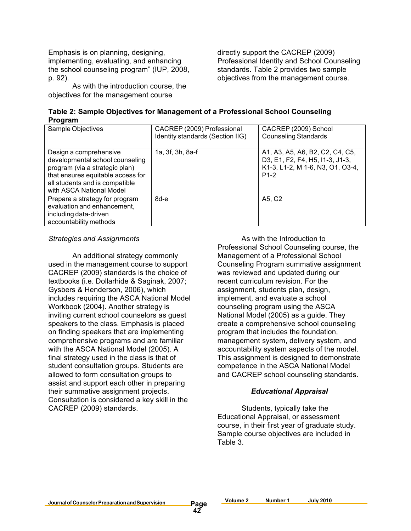Emphasis is on planning, designing, implementing, evaluating, and enhancing the school counseling program" (IUP, 2008, p. 92).

As with the introduction course, the objectives for the management course

directly support the CACREP (2009) Professional Identity and School Counseling standards. Table 2 provides two sample objectives from the management course.

| Table 2: Sample Objectives for Management of a Professional School Counseling |  |
|-------------------------------------------------------------------------------|--|
| Program                                                                       |  |

| Sample Objectives                                                                                                                                                                              | CACREP (2009) Professional<br>Identity standards (Section IIG) | CACREP (2009) School<br><b>Counseling Standards</b>                                                              |
|------------------------------------------------------------------------------------------------------------------------------------------------------------------------------------------------|----------------------------------------------------------------|------------------------------------------------------------------------------------------------------------------|
| Design a comprehensive<br>developmental school counseling<br>program (via a strategic plan)<br>that ensures equitable access for<br>all students and is compatible<br>with ASCA National Model | 1a, 3f, 3h, 8a-f                                               | A1, A3, A5, A6, B2, C2, C4, C5,<br>D3, E1, F2, F4, H5, I1-3, J1-3,<br>K1-3, L1-2, M 1-6, N3, O1, O3-4,<br>$P1-2$ |
| Prepare a strategy for program<br>evaluation and enhancement,<br>including data-driven<br>accountability methods                                                                               | 8d-e                                                           | A5, C2                                                                                                           |

#### *Strategies and Assignments*

An additional strategy commonly used in the management course to support CACREP (2009) standards is the choice of textbooks (i.e. Dollarhide & Saginak, 2007; Gysbers & Henderson, 2006), which includes requiring the ASCA National Model Workbook (2004). Another strategy is inviting current school counselors as guest speakers to the class. Emphasis is placed on finding speakers that are implementing comprehensive programs and are familiar with the ASCA National Model (2005). A final strategy used in the class is that of student consultation groups. Students are allowed to form consultation groups to assist and support each other in preparing their summative assignment projects. Consultation is considered a key skill in the CACREP (2009) standards.

As with the Introduction to Professional School Counseling course, the Management of a Professional School Counseling Program summative assignment was reviewed and updated during our recent curriculum revision. For the assignment, students plan, design, implement, and evaluate a school counseling program using the ASCA National Model (2005) as a guide. They create a comprehensive school counseling program that includes the foundation, management system, delivery system, and accountability system aspects of the model. This assignment is designed to demonstrate competence in the ASCA National Model and CACREP school counseling standards.

#### *Educational Appraisal*

Students, typically take the Educational Appraisal, or assessment course, in their first year of graduate study. Sample course objectives are included in Table 3.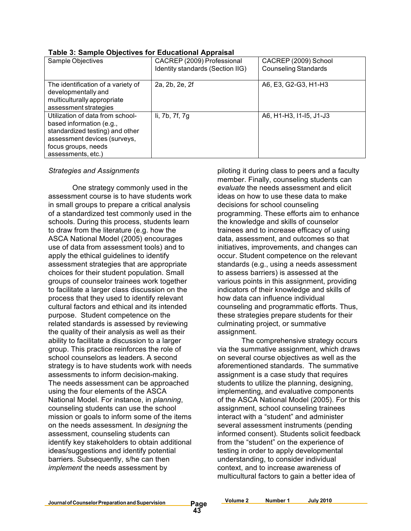| Sample Objectives                                                                                                                                                            | CACREP (2009) Professional<br>Identity standards (Section IIG) | CACREP (2009) School<br><b>Counseling Standards</b> |  |
|------------------------------------------------------------------------------------------------------------------------------------------------------------------------------|----------------------------------------------------------------|-----------------------------------------------------|--|
| The identification of a variety of<br>developmentally and<br>multiculturally appropriate<br>assessment strategies                                                            | 2a, 2b, 2e, 2f                                                 | A6, E3, G2-G3, H1-H3                                |  |
| Utilization of data from school-<br>based information (e.g.,<br>standardized testing) and other<br>assessment devices (surveys,<br>focus groups, needs<br>assessments, etc.) | li, 7b, 7f, 7g                                                 | A6, H1-H3, I1-I5, J1-J3                             |  |

#### **Table 3: Sample Objectives for Educational Appraisal**

#### *Strategies and Assignments*

One strategy commonly used in the assessment course is to have students work in small groups to prepare a critical analysis of a standardized test commonly used in the schools. During this process, students learn to draw from the literature (e.g. how the ASCA National Model (2005) encourages use of data from assessment tools) and to apply the ethical guidelines to identify assessment strategies that are appropriate choices for their student population. Small groups of counselor trainees work together to facilitate a larger class discussion on the process that they used to identify relevant cultural factors and ethical and its intended purpose. Student competence on the related standards is assessed by reviewing the quality of their analysis as well as their ability to facilitate a discussion to a larger group. This practice reinforces the role of school counselors as leaders. A second strategy is to have students work with needs assessments to inform decision-making. The needs assessment can be approached using the four elements of the ASCA National Model. For instance, in *planning*, counseling students can use the school mission or goals to inform some of the items on the needs assessment. In *designing* the assessment, counseling students can identify key stakeholders to obtain additional ideas/suggestions and identify potential barriers. Subsequently, s/he can then *implement* the needs assessment by

piloting it during class to peers and a faculty member. Finally, counseling students can *evaluate* the needs assessment and elicit ideas on how to use these data to make decisions for school counseling programming. These efforts aim to enhance the knowledge and skills of counselor trainees and to increase efficacy of using data, assessment, and outcomes so that initiatives, improvements, and changes can occur. Student competence on the relevant standards (e.g., using a needs assessment to assess barriers) is assessed at the various points in this assignment, providing indicators of their knowledge and skills of how data can influence individual counseling and programmatic efforts. Thus, these strategies prepare students for their culminating project, or summative assignment.

The comprehensive strategy occurs via the summative assignment, which draws on several course objectives as well as the aforementioned standards. The summative assignment is a case study that requires students to utilize the planning, designing, implementing, and evaluative components of the ASCA National Model (2005). For this assignment, school counseling trainees interact with a "student" and administer several assessment instruments (pending informed consent). Students solicit feedback from the "student" on the experience of testing in order to apply developmental understanding, to consider individual context, and to increase awareness of multicultural factors to gain a better idea of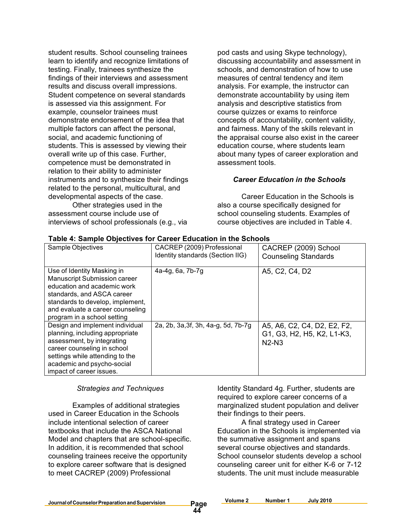student results. School counseling trainees learn to identify and recognize limitations of testing. Finally, trainees synthesize the findings of their interviews and assessment results and discuss overall impressions. Student competence on several standards is assessed via this assignment. For example, counselor trainees must demonstrate endorsement of the idea that multiple factors can affect the personal, social, and academic functioning of students. This is assessed by viewing their overall write up of this case. Further, competence must be demonstrated in relation to their ability to administer instruments and to synthesize their findings related to the personal, multicultural, and developmental aspects of the case.

Other strategies used in the assessment course include use of interviews of school professionals (e.g., via

pod casts and using Skype technology), discussing accountability and assessment in schools, and demonstration of how to use measures of central tendency and item analysis. For example, the instructor can demonstrate accountability by using item analysis and descriptive statistics from course quizzes or exams to reinforce concepts of accountability, content validity, and fairness. Many of the skills relevant in the appraisal course also exist in the career education course, where students learn about many types of career exploration and assessment tools.

#### *Career Education in the Schools*

Career Education in the Schools is also a course specifically designed for school counseling students. Examples of course objectives are included in Table 4.

| Sample Objectives                                                                                                                                                                                                                     | CACREP (2009) Professional<br>Identity standards (Section IIG) | CACREP (2009) School<br><b>Counseling Standards</b>                  |
|---------------------------------------------------------------------------------------------------------------------------------------------------------------------------------------------------------------------------------------|----------------------------------------------------------------|----------------------------------------------------------------------|
| Use of Identity Masking in<br><b>Manuscript Submission career</b><br>education and academic work<br>standards, and ASCA career<br>standards to develop, implement,<br>and evaluate a career counseling<br>program in a school setting | 4a-4g, 6a, 7b-7g                                               | A5, C2, C4, D2                                                       |
| Design and implement individual<br>planning, including appropriate<br>assessment, by integrating<br>career counseling in school<br>settings while attending to the<br>academic and psycho-social<br>impact of career issues.          | 2a, 2b, 3a, 3f, 3h, 4a-g, 5d, 7b-7g                            | A5, A6, C2, C4, D2, E2, F2,<br>G1, G3, H2, H5, K2, L1-K3,<br>$N2-N3$ |

#### **Table 4: Sample Objectives for Career Education in the Schools**

#### *Strategies and Techniques*

Examples of additional strategies used in Career Education in the Schools include intentional selection of career textbooks that include the ASCA National Model and chapters that are school-specific. In addition, it is recommended that school counseling trainees receive the opportunity to explore career software that is designed to meet CACREP (2009) Professional

Identity Standard 4g. Further, students are required to explore career concerns of a marginalized student population and deliver their findings to their peers.

A final strategy used in Career Education in the Schools is implemented via the summative assignment and spans several course objectives and standards. School counselor students develop a school counseling career unit for either K-6 or 7-12 students. The unit must include measurable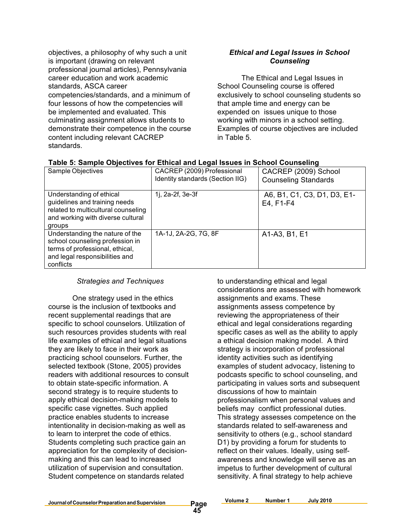objectives, a philosophy of why such a unit is important (drawing on relevant professional journal articles), Pennsylvania career education and work academic standards, ASCA career competencies/standards, and a minimum of four lessons of how the competencies will be implemented and evaluated. This culminating assignment allows students to demonstrate their competence in the course content including relevant CACREP standards.

#### *Ethical and Legal Issues in School Counseling*

The Ethical and Legal Issues in School Counseling course is offered exclusively to school counseling students so that ample time and energy can be expended on issues unique to those working with minors in a school setting. Examples of course objectives are included in Table 5.

| rable J. Jampie Objectives for Etmcarand Legarissues in Johool Counseling                                                                            |                                  |                                          |
|------------------------------------------------------------------------------------------------------------------------------------------------------|----------------------------------|------------------------------------------|
| Sample Objectives                                                                                                                                    | CACREP (2009) Professional       | CACREP (2009) School                     |
|                                                                                                                                                      | Identity standards (Section IIG) | <b>Counseling Standards</b>              |
| Understanding of ethical<br>guidelines and training needs<br>related to multicultural counseling<br>and working with diverse cultural<br>groups      | 1j, 2a-2f, 3e-3f                 | A6, B1, C1, C3, D1, D3, E1-<br>E4, F1-F4 |
| Understanding the nature of the<br>school counseling profession in<br>terms of professional, ethical,<br>and legal responsibilities and<br>conflicts | 1A-1J, 2A-2G, 7G, 8F             | A1-A3, B1, E1                            |

#### **Table 5: Sample Objectives for Ethical and Legal Issues in School Counseling**

#### *Strategies and Techniques*

One strategy used in the ethics course is the inclusion of textbooks and recent supplemental readings that are specific to school counselors. Utilization of such resources provides students with real life examples of ethical and legal situations they are likely to face in their work as practicing school counselors. Further, the selected textbook (Stone, 2005) provides readers with additional resources to consult to obtain state-specific information. A second strategy is to require students to apply ethical decision-making models to specific case vignettes. Such applied practice enables students to increase intentionality in decision-making as well as to learn to interpret the code of ethics. Students completing such practice gain an appreciation for the complexity of decisionmaking and this can lead to increased utilization of supervision and consultation. Student competence on standards related

to understanding ethical and legal considerations are assessed with homework assignments and exams. These assignments assess competence by reviewing the appropriateness of their ethical and legal considerations regarding specific cases as well as the ability to apply a ethical decision making model. A third strategy is incorporation of professional identity activities such as identifying examples of student advocacy, listening to podcasts specific to school counseling, and participating in values sorts and subsequent discussions of how to maintain professionalism when personal values and beliefs may conflict professional duties. This strategy assesses competence on the standards related to self-awareness and sensitivity to others (e.g., school standard D1) by providing a forum for students to reflect on their values. Ideally, using selfawareness and knowledge will serve as an impetus to further development of cultural sensitivity. A final strategy to help achieve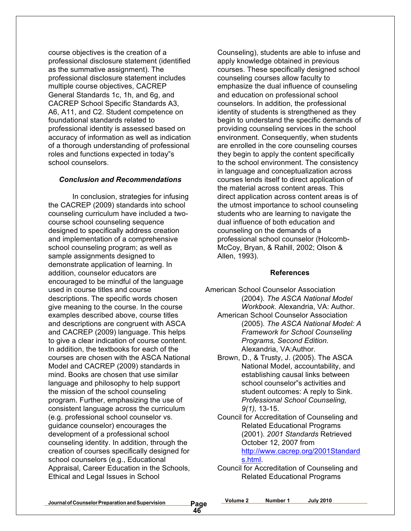course objectives is the creation of a professional disclosure statement (identified as the summative assignment). The professional disclosure statement includes multiple course objectives, CACREP General Standards 1c, 1h, and 6g, and CACREP School Specific Standards A3, A6, A11, and C2. Student competence on foundational standards related to professional identity is assessed based on accuracy of information as well as indication of a thorough understanding of professional roles and functions expected in today"s school counselors.

#### *Conclusion and Recommendations*

In conclusion, strategies for infusing the CACREP (2009) standards into school counseling curriculum have included a twocourse school counseling sequence designed to specifically address creation and implementation of a comprehensive school counseling program; as well as sample assignments designed to demonstrate application of learning. In addition, counselor educators are encouraged to be mindful of the language used in course titles and course descriptions. The specific words chosen give meaning to the course. In the course examples described above, course titles and descriptions are congruent with ASCA and CACREP (2009) language. This helps to give a clear indication of course content. In addition, the textbooks for each of the courses are chosen with the ASCA National Model and CACREP (2009) standards in mind. Books are chosen that use similar language and philosophy to help support the mission of the school counseling program. Further, emphasizing the use of consistent language across the curriculum (e.g. professional school counselor vs. guidance counselor) encourages the development of a professional school counseling identity. In addition, through the creation of courses specifically designed for school counselors (e.g., Educational Appraisal, Career Education in the Schools, Ethical and Legal Issues in School

Counseling), students are able to infuse and apply knowledge obtained in previous courses. These specifically designed school counseling courses allow faculty to emphasize the dual influence of counseling and education on professional school counselors. In addition, the professional identity of students is strengthened as they begin to understand the specific demands of providing counseling services in the school environment. Consequently, when students are enrolled in the core counseling courses they begin to apply the content specifically to the school environment. The consistency in language and conceptualization across courses lends itself to direct application of the material across content areas. This direct application across content areas is of the utmost importance to school counseling students who are learning to navigate the dual influence of both education and counseling on the demands of a professional school counselor (Holcomb-McCoy, Bryan, & Rahill, 2002; Olson & Allen, 1993).

#### **References**

- American School Counselor Association (2004). *The ASCA National Model Workbook.* Alexandria, VA: Author.
	- American School Counselor Association (2005). *The ASCA National Model: A Framework for School Counseling Programs, Second Edition.* Alexandria, VA:Author.
	- Brown, D., & Trusty, J. (2005). The ASCA National Model, accountability, and establishing causal links between school counselor"s activities and student outcomes: A reply to Sink. *Professional School Counseling, 9(1),* 13-15.
	- Council for Accreditation of Counseling and Related Educational Programs (2001). *2001 Standards* Retrieved October 12, 2007 from http://www.cacrep.org/2001Standard s.html.
	- Council for Accreditation of Counseling and Related Educational Programs

**Volume 2 Number 1 July 2010**

**46**